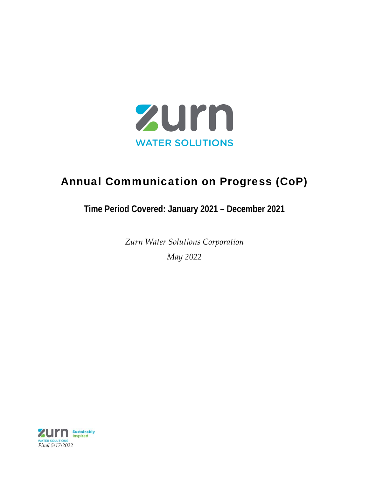

### Annual Communication on Progress (CoP)

### **Time Period Covered: January 2021 – December 2021**

*Zurn Water Solutions Corporation May 2022*

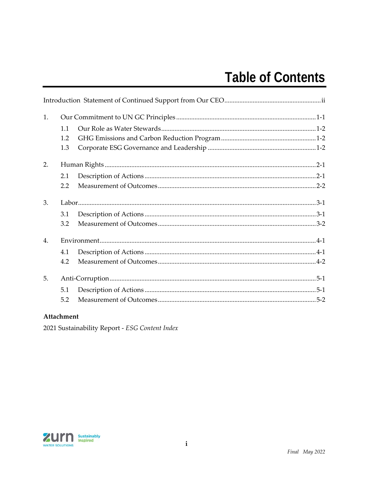### **Table of Contents**

| 1. |     |  |
|----|-----|--|
|    | 1.1 |  |
|    | 1.2 |  |
|    | 1.3 |  |
| 2. |     |  |
|    | 2.1 |  |
|    | 2.2 |  |
| 3. |     |  |
|    | 3.1 |  |
|    | 3.2 |  |
| 4. |     |  |
|    | 4.1 |  |
|    | 4.2 |  |
| 5. |     |  |
|    | 5.1 |  |
|    | 5.2 |  |

#### Attachment

2021 Sustainability Report - ESG Content Index

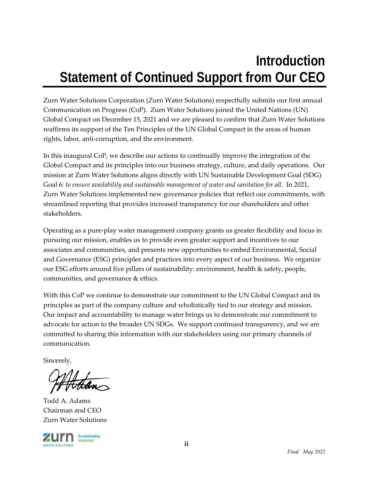### **Introduction Statement of Continued Support from Our CEO**

Zurn Water Solutions Corporation (Zurn Water Solutions) respectfully submits our first annual Communication on Progress (CoP). Zurn Water Solutions joined the United Nations (UN) Global Compact on December 15, 2021 and we are pleased to confirm that Zurn Water Solutions reaffirms its support of the Ten Principles of the UN Global Compact in the areas of human rights, labor, anti‐corruption, and the environment.

In this inaugural CoP, we describe our actions to continually improve the integration of the Global Compact and its principles into our business strategy, culture, and daily operations. Our mission at Zurn Water Solutions aligns directly with UN Sustainable Development Goal (SDG) Goal 6*: to ensure availability and sustainable management of water and sanitation for all*. In 2021, Zurn Water Solutions implemented new governance policies that reflect our commitments, with streamlined reporting that provides increased transparency for our shareholders and other stakeholders.

Operating as a pure‐play water management company grants us greater flexibility and focus in pursuing our mission, enables us to provide even greater support and incentives to our associates and communities, and presents new opportunities to embed Environmental, Social and Governance (ESG) principles and practices into every aspect of our business. We organize our ESG efforts around five pillars of sustainability: environment, health & safety, people, communities, and governance & ethics.

With this CoP we continue to demonstrate our commitment to the UN Global Compact and its principles as part of the company culture and wholistically tied to our strategy and mission. Our impact and accountability to manage water brings us to demonstrate our commitment to advocate for action to the broader UN SDGs. We support continued transparency, and we are committed to sharing this information with our stakeholders using our primary channels of communication.

Sincerely,

Todd A. Adams Chairman and CEO Zurn Water Solutions

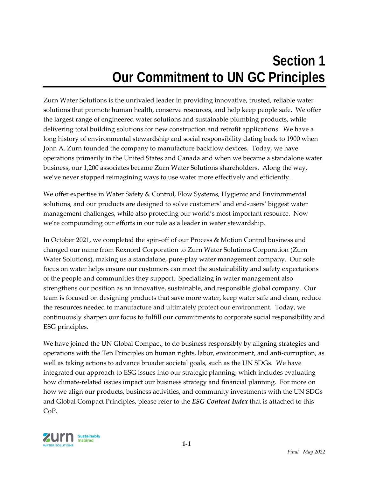## **Section 1 Our Commitment to UN GC Principles**

Zurn Water Solutions is the unrivaled leader in providing innovative, trusted, reliable water solutions that promote human health, conserve resources, and help keep people safe. We offer the largest range of engineered water solutions and sustainable plumbing products, while delivering total building solutions for new construction and retrofit applications. We have a long history of environmental stewardship and social responsibility dating back to 1900 when John A. Zurn founded the company to manufacture backflow devices. Today, we have operations primarily in the United States and Canada and when we became a standalone water business, our 1,200 associates became Zurn Water Solutions shareholders. Along the way, we've never stopped reimagining ways to use water more effectively and efficiently.

We offer expertise in Water Safety & Control, Flow Systems, Hygienic and Environmental solutions, and our products are designed to solve customers' and end‐users' biggest water management challenges, while also protecting our world's most important resource. Now we're compounding our efforts in our role as a leader in water stewardship.

In October 2021, we completed the spin-off of our Process & Motion Control business and changed our name from Rexnord Corporation to Zurn Water Solutions Corporation (Zurn Water Solutions), making us a standalone, pure‐play water management company. Our sole focus on water helps ensure our customers can meet the sustainability and safety expectations of the people and communities they support. Specializing in water management also strengthens our position as an innovative, sustainable, and responsible global company. Our team is focused on designing products that save more water, keep water safe and clean, reduce the resources needed to manufacture and ultimately protect our environment. Today, we continuously sharpen our focus to fulfill our commitments to corporate social responsibility and ESG principles.

We have joined the UN Global Compact, to do business responsibly by aligning strategies and operations with the Ten Principles on human rights, labor, environment, and anti‐corruption, as well as taking actions to advance broader societal goals, such as the UN SDGs. We have integrated our approach to ESG issues into our strategic planning, which includes evaluating how climate‐related issues impact our business strategy and financial planning. For more on how we align our products, business activities, and community investments with the UN SDGs and Global Compact Principles, please refer to the *ESG Content Index* that is attached to this CoP.

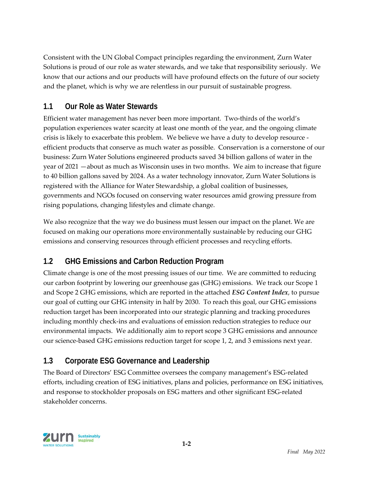Consistent with the UN Global Compact principles regarding the environment, Zurn Water Solutions is proud of our role as water stewards, and we take that responsibility seriously. We know that our actions and our products will have profound effects on the future of our society and the planet, which is why we are relentless in our pursuit of sustainable progress.

### **1.1 Our Role as Water Stewards**

Efficient water management has never been more important. Two-thirds of the world's population experiences water scarcity at least one month of the year, and the ongoing climate crisis is likely to exacerbate this problem. We believe we have a duty to develop resource ‐ efficient products that conserve as much water as possible. Conservation is a cornerstone of our business: Zurn Water Solutions engineered products saved 34 billion gallons of water in the year of 2021 —about as much as Wisconsin uses in two months. We aim to increase that figure to 40 billion gallons saved by 2024. As a water technology innovator, Zurn Water Solutions is registered with the Alliance for Water Stewardship, a global coalition of businesses, governments and NGOs focused on conserving water resources amid growing pressure from rising populations, changing lifestyles and climate change.

We also recognize that the way we do business must lessen our impact on the planet. We are focused on making our operations more environmentally sustainable by reducing our GHG emissions and conserving resources through efficient processes and recycling efforts.

### **1.2 GHG Emissions and Carbon Reduction Program**

Climate change is one of the most pressing issues of our time. We are committed to reducing our carbon footprint by lowering our greenhouse gas (GHG) emissions. We track our Scope 1 and Scope 2 GHG emissions, which are reported in the attached *ESG Content Index*, to pursue our goal of cutting our GHG intensity in half by 2030. To reach this goal, our GHG emissions reduction target has been incorporated into our strategic planning and tracking procedures including monthly check‐ins and evaluations of emission reduction strategies to reduce our environmental impacts. We additionally aim to report scope 3 GHG emissions and announce our science-based GHG emissions reduction target for scope 1, 2, and 3 emissions next year.

### **1.3 Corporate ESG Governance and Leadership**

The Board of Directors' ESG Committee oversees the company management's ESG‐related efforts, including creation of ESG initiatives, plans and policies, performance on ESG initiatives, and response to stockholder proposals on ESG matters and other significant ESG‐related stakeholder concerns.

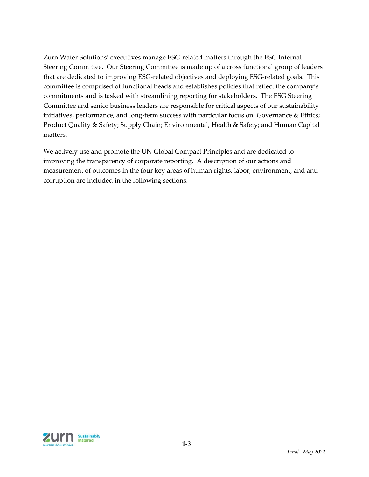Zurn Water Solutions' executives manage ESG‐related matters through the ESG Internal Steering Committee. Our Steering Committee is made up of a cross functional group of leaders that are dedicated to improving ESG‐related objectives and deploying ESG‐related goals. This committee is comprised of functional heads and establishes policies that reflect the company's commitments and is tasked with streamlining reporting for stakeholders. The ESG Steering Committee and senior business leaders are responsible for critical aspects of our sustainability initiatives, performance, and long-term success with particular focus on: Governance & Ethics; Product Quality & Safety; Supply Chain; Environmental, Health & Safety; and Human Capital matters.

We actively use and promote the UN Global Compact Principles and are dedicated to improving the transparency of corporate reporting. A description of our actions and measurement of outcomes in the four key areas of human rights, labor, environment, and anticorruption are included in the following sections.

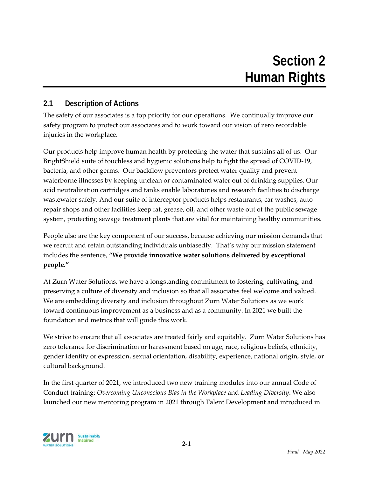### **2.1 Description of Actions**

The safety of our associates is a top priority for our operations. We continually improve our safety program to protect our associates and to work toward our vision of zero recordable injuries in the workplace.

Our products help improve human health by protecting the water that sustains all of us. Our BrightShield suite of touchless and hygienic solutions help to fight the spread of COVID‐19, bacteria, and other germs. Our backflow preventors protect water quality and prevent waterborne illnesses by keeping unclean or contaminated water out of drinking supplies. Our acid neutralization cartridges and tanks enable laboratories and research facilities to discharge wastewater safely. And our suite of interceptor products helps restaurants, car washes, auto repair shops and other facilities keep fat, grease, oil, and other waste out of the public sewage system, protecting sewage treatment plants that are vital for maintaining healthy communities.

People also are the key component of our success, because achieving our mission demands that we recruit and retain outstanding individuals unbiasedly. That's why our mission statement includes the sentence, **"We provide innovative water solutions delivered by exceptional people."**

At Zurn Water Solutions, we have a longstanding commitment to fostering, cultivating, and preserving a culture of diversity and inclusion so that all associates feel welcome and valued. We are embedding diversity and inclusion throughout Zurn Water Solutions as we work toward continuous improvement as a business and as a community. In 2021 we built the foundation and metrics that will guide this work.

We strive to ensure that all associates are treated fairly and equitably. Zurn Water Solutions has zero tolerance for discrimination or harassment based on age, race, religious beliefs, ethnicity, gender identity or expression, sexual orientation, disability, experience, national origin, style, or cultural background.

In the first quarter of 2021, we introduced two new training modules into our annual Code of Conduct training: *Overcoming Unconscious Bias in the Workplace* and *Leading Diversity*. We also launched our new mentoring program in 2021 through Talent Development and introduced in

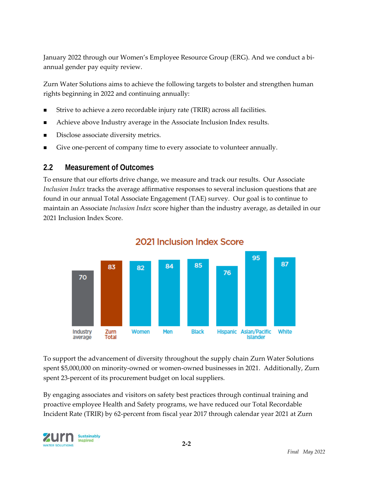January 2022 through our Women's Employee Resource Group (ERG). And we conduct a bi‐ annual gender pay equity review.

Zurn Water Solutions aims to achieve the following targets to bolster and strengthen human rights beginning in 2022 and continuing annually:

- Strive to achieve a zero recordable injury rate (TRIR) across all facilities.
- Achieve above Industry average in the Associate Inclusion Index results.
- Disclose associate diversity metrics.
- Give one-percent of company time to every associate to volunteer annually.

### **2.2 Measurement of Outcomes**

To ensure that our efforts drive change, we measure and track our results. Our Associate *Inclusion Index* tracks the average affirmative responses to several inclusion questions that are found in our annual Total Associate Engagement (TAE) survey. Our goal is to continue to maintain an Associate *Inclusion Index* score higher than the industry average, as detailed in our 2021 Inclusion Index Score.



### 2021 Inclusion Index Score

To support the advancement of diversity throughout the supply chain Zurn Water Solutions spent \$5,000,000 on minority-owned or women-owned businesses in 2021. Additionally, Zurn spent 23-percent of its procurement budget on local suppliers.

By engaging associates and visitors on safety best practices through continual training and proactive employee Health and Safety programs, we have reduced our Total Recordable Incident Rate (TRIR) by 62‐percent from fiscal year 2017 through calendar year 2021 at Zurn

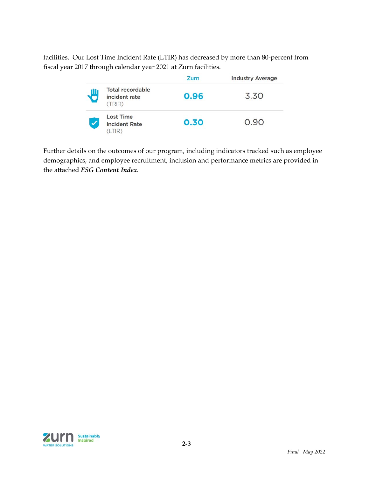facilities. Our Lost Time Incident Rate (LTIR) has decreased by more than 80‐percent from fiscal year 2017 through calendar year 2021 at Zurn facilities.

|          |                                                    | Zurn | <b>Industry Average</b> |
|----------|----------------------------------------------------|------|-------------------------|
| <b>P</b> | <b>Total recordable</b><br>incident rate<br>(TRIR) | 0.96 | 3.30                    |
|          | <b>Lost Time</b><br><b>Incident Rate</b>           | 0.30 | 0.90                    |

Further details on the outcomes of our program, including indicators tracked such as employee demographics, and employee recruitment, inclusion and performance metrics are provided in the attached *ESG Content Index*.

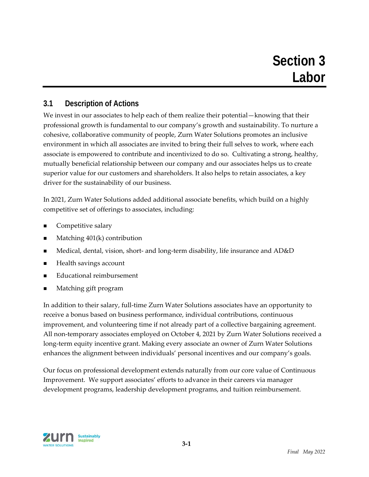### **3.1 Description of Actions**

We invest in our associates to help each of them realize their potential—knowing that their professional growth is fundamental to our company's growth and sustainability. To nurture a cohesive, collaborative community of people, Zurn Water Solutions promotes an inclusive environment in which all associates are invited to bring their full selves to work, where each associate is empowered to contribute and incentivized to do so. Cultivating a strong, healthy, mutually beneficial relationship between our company and our associates helps us to create superior value for our customers and shareholders. It also helps to retain associates, a key driver for the sustainability of our business.

In 2021, Zurn Water Solutions added additional associate benefits, which build on a highly competitive set of offerings to associates, including:

- Competitive salary
- Matching 401(k) contribution
- Medical, dental, vision, short- and long-term disability, life insurance and AD&D
- Health savings account
- Educational reimbursement
- Matching gift program

In addition to their salary, full-time Zurn Water Solutions associates have an opportunity to receive a bonus based on business performance, individual contributions, continuous improvement, and volunteering time if not already part of a collective bargaining agreement. All non-temporary associates employed on October 4, 2021 by Zurn Water Solutions received a long-term equity incentive grant. Making every associate an owner of Zurn Water Solutions enhances the alignment between individuals' personal incentives and our company's goals.

Our focus on professional development extends naturally from our core value of Continuous Improvement. We support associates' efforts to advance in their careers via manager development programs, leadership development programs, and tuition reimbursement.

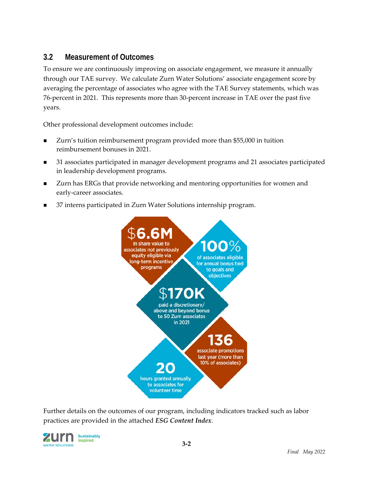### **3.2 Measurement of Outcomes**

To ensure we are continuously improving on associate engagement, we measure it annually through our TAE survey. We calculate Zurn Water Solutions' associate engagement score by averaging the percentage of associates who agree with the TAE Survey statements, which was 76‐percent in 2021. This represents more than 30‐percent increase in TAE over the past five years.

Other professional development outcomes include:

- Zurn's tuition reimbursement program provided more than \$55,000 in tuition reimbursement bonuses in 2021.
- 31 associates participated in manager development programs and 21 associates participated in leadership development programs.
- Zurn has ERGs that provide networking and mentoring opportunities for women and early-career associates.
- 37 interns participated in Zurn Water Solutions internship program.



Further details on the outcomes of our program, including indicators tracked such as labor practices are provided in the attached *ESG Content Index*.

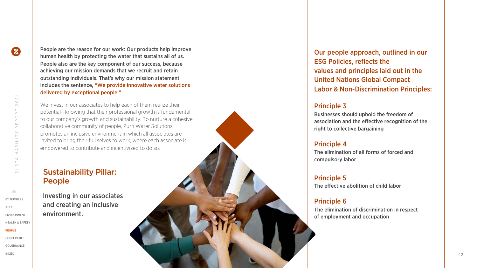SUSTAINABILITY REPORT 2021

USTAINABILITY

2021

 $\stackrel{\vdash}{\scriptstyle{\simeq}}$  $\bigcirc$  $\overset{\textstyle\Box}{=}$  $\simeq$ 

People are the reason for our work: Our products help improve human health by protecting the water that sustains all of us. People also are the key component of our success, because achieving our mission demands that we recruit and retain outstanding individuals. That's why our mission statement includes the sentence, "We provide innovative water solutions delivered by exceptional people."

We invest in our associates to help each of them realize their potential —knowing that their professional growth is fundamental to our company's growth and sustainability. To nurture a cohesive, collaborative community of people, Zurn Water Solutions promotes an inclusive environment in which all associates are invited to bring their full selves to work, where each associate is empowered to contribute and incentivized to do so.

### Sustainability Pillar: People

Investing in our associates and creating an inclusive environment.

Our people approach, outlined in our ESG Policies, reflects the values and principles laid out in the United Nations Global Compact Labor & Non -Discrimination Principles:

### Principle 3

Businesses should uphold the freedom of association and the effective recognition of the right to collective bargaining

### Principle 4

The elimination of all forms of forced and compulsory labor

Principle 5 The effective abolition of child labor

### Principle 6

The elimination of discrimination in respect of employment and occupation

△

[IND](#page--1-0)EX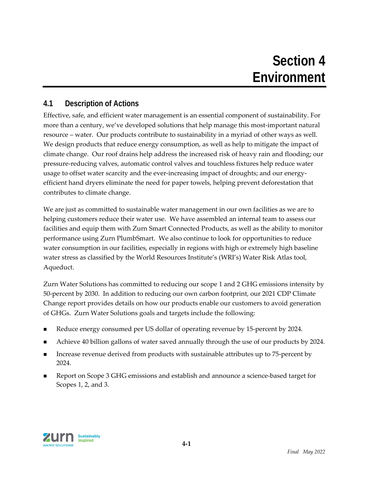### **Section 4 Environment**

### **4.1 Description of Actions**

Effective, safe, and efficient water management is an essential component of sustainability. For more than a century, we've developed solutions that help manage this most-important natural resource – water. Our products contribute to sustainability in a myriad of other ways as well. We design products that reduce energy consumption, as well as help to mitigate the impact of climate change. Our roof drains help address the increased risk of heavy rain and flooding; our pressure‐reducing valves, automatic control valves and touchless fixtures help reduce water usage to offset water scarcity and the ever-increasing impact of droughts; and our energyefficient hand dryers eliminate the need for paper towels, helping prevent deforestation that contributes to climate change.

We are just as committed to sustainable water management in our own facilities as we are to helping customers reduce their water use. We have assembled an internal team to assess our facilities and equip them with Zurn Smart Connected Products, as well as the ability to monitor performance using Zurn PlumbSmart. We also continue to look for opportunities to reduce water consumption in our facilities, especially in regions with high or extremely high baseline water stress as classified by the World Resources Institute's (WRI's) Water Risk Atlas tool, Aqueduct.

Zurn Water Solutions has committed to reducing our scope 1 and 2 GHG emissions intensity by 50‐percent by 2030. In addition to reducing our own carbon footprint, our 2021 CDP Climate Change report provides details on how our products enable our customers to avoid generation of GHGs. Zurn Water Solutions goals and targets include the following:

- Reduce energy consumed per US dollar of operating revenue by 15‐percent by 2024.
- Achieve 40 billion gallons of water saved annually through the use of our products by 2024.
- Increase revenue derived from products with sustainable attributes up to 75-percent by 2024.
- Report on Scope 3 GHG emissions and establish and announce a science‐based target for Scopes 1, 2, and 3.

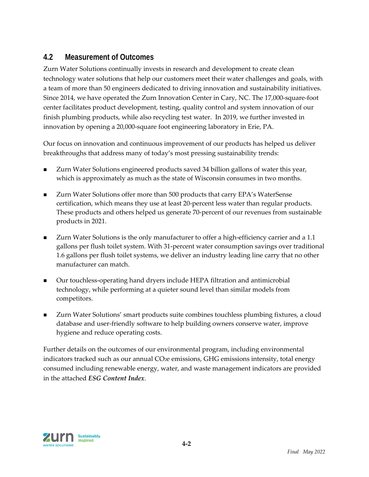### **4.2 Measurement of Outcomes**

Zurn Water Solutions continually invests in research and development to create clean technology water solutions that help our customers meet their water challenges and goals, with a team of more than 50 engineers dedicated to driving innovation and sustainability initiatives. Since 2014, we have operated the Zurn Innovation Center in Cary, NC. The 17,000-square-foot center facilitates product development, testing, quality control and system innovation of our finish plumbing products, while also recycling test water. In 2019, we further invested in innovation by opening a 20,000‐square foot engineering laboratory in Erie, PA.

Our focus on innovation and continuous improvement of our products has helped us deliver breakthroughs that address many of today's most pressing sustainability trends:

- Zurn Water Solutions engineered products saved 34 billion gallons of water this year, which is approximately as much as the state of Wisconsin consumes in two months.
- Zurn Water Solutions offer more than 500 products that carry EPA's WaterSense certification, which means they use at least 20‐percent less water than regular products. These products and others helped us generate 70‐percent of our revenues from sustainable products in 2021.
- Zurn Water Solutions is the only manufacturer to offer a high-efficiency carrier and a 1.1 gallons per flush toilet system. With 31‐percent water consumption savings over traditional 1.6 gallons per flush toilet systems, we deliver an industry leading line carry that no other manufacturer can match.
- Our touchless-operating hand dryers include HEPA filtration and antimicrobial technology, while performing at a quieter sound level than similar models from competitors.
- Zurn Water Solutions' smart products suite combines touchless plumbing fixtures, a cloud database and user‐friendly software to help building owners conserve water, improve hygiene and reduce operating costs.

Further details on the outcomes of our environmental program, including environmental indicators tracked such as our annual CO<sub>2</sub>e emissions, GHG emissions intensity, total energy consumed including renewable energy, water, and waste management indicators are provided in the attached *ESG Content Index*.

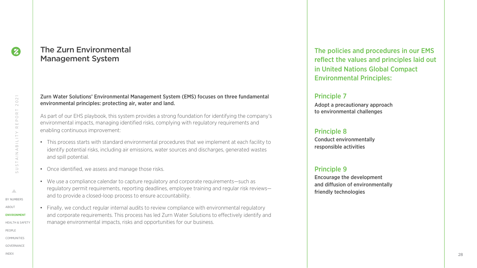### The Zurn Environmental Management System

#### Zurn Water Solutions' Environmental Management System (EMS) focuses on three fundamental environmental principles: protecting air, water and land.

As part of our EHS playbook, this system provides a strong foundation for identifying the company's environmental impacts, managing identified risks, complying with regulatory requirements and enabling continuous improvement:

- This process starts with standard environmental procedures that we implement at each facility to identify potential risks, including air emissions, water sources and discharges, generated wastes and spill potential.
- Once identified, we assess and manage those risks.
- We use a compliance calendar to capture regulatory and corporate requirements—such as regulatory permit requirements, reporting deadlines, employee training and regular risk reviews and to provide a closed-loop process to ensure accountability.
- Finally, we conduct regular internal audits to review compliance with environmental regulatory and corporate requirements. This process has led Zurn Water Solutions to effectively identify and manage environmental impacts, risks and opportunities for our business.

The policies and procedures in our EMS reflect the values and principles laid out in United Nations Global Compact Environmental Principles:

### Principle 7

Adopt a precautionary approach to environmental challenges

#### Principle 8

Conduct environmentally responsible activities

#### Principle 9

Encourage the development and diffusion of environmentally friendly technologies

 $\boldsymbol{\varnothing}$ 

 $\triangle$ 

[IND](#page--1-0)EX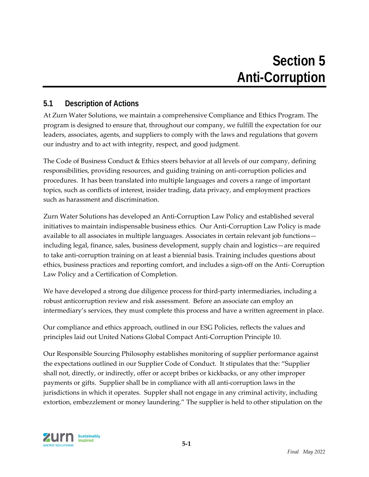### **5.1 Description of Actions**

At Zurn Water Solutions, we maintain a comprehensive Compliance and Ethics Program. The program is designed to ensure that, throughout our company, we fulfill the expectation for our leaders, associates, agents, and suppliers to comply with the laws and regulations that govern our industry and to act with integrity, respect, and good judgment.

The Code of Business Conduct & Ethics steers behavior at all levels of our company, defining responsibilities, providing resources, and guiding training on anti‐corruption policies and procedures. It has been translated into multiple languages and covers a range of important topics, such as conflicts of interest, insider trading, data privacy, and employment practices such as harassment and discrimination.

Zurn Water Solutions has developed an Anti‐Corruption Law Policy and established several initiatives to maintain indispensable business ethics. Our Anti‐Corruption Law Policy is made available to all associates in multiple languages. Associates in certain relevant job functions including legal, finance, sales, business development, supply chain and logistics—are required to take anti‐corruption training on at least a biennial basis. Training includes questions about ethics, business practices and reporting comfort, and includes a sign‐off on the Anti‐ Corruption Law Policy and a Certification of Completion.

We have developed a strong due diligence process for third-party intermediaries, including a robust anticorruption review and risk assessment. Before an associate can employ an intermediary's services, they must complete this process and have a written agreement in place.

Our compliance and ethics approach, outlined in our ESG Policies, reflects the values and principles laid out United Nations Global Compact Anti‐Corruption Principle 10.

Our Responsible Sourcing Philosophy establishes monitoring of supplier performance against the expectations outlined in our Supplier Code of Conduct. It stipulates that the: "Supplier shall not, directly, or indirectly, offer or accept bribes or kickbacks, or any other improper payments or gifts. Supplier shall be in compliance with all anti‐corruption laws in the jurisdictions in which it operates. Suppler shall not engage in any criminal activity, including extortion, embezzlement or money laundering." The supplier is held to other stipulation on the

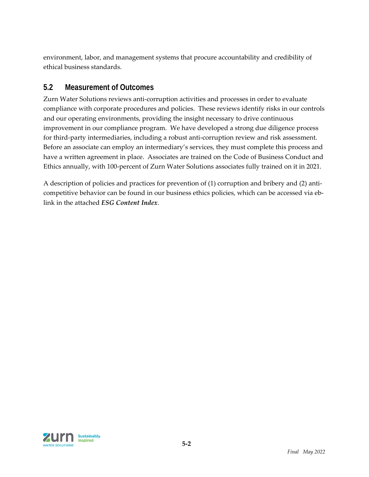environment, labor, and management systems that procure accountability and credibility of ethical business standards.

### **5.2 Measurement of Outcomes**

Zurn Water Solutions reviews anti‐corruption activities and processes in order to evaluate compliance with corporate procedures and policies. These reviews identify risks in our controls and our operating environments, providing the insight necessary to drive continuous improvement in our compliance program. We have developed a strong due diligence process for third-party intermediaries, including a robust anti-corruption review and risk assessment. Before an associate can employ an intermediary's services, they must complete this process and have a written agreement in place. Associates are trained on the Code of Business Conduct and Ethics annually, with 100‐percent of Zurn Water Solutions associates fully trained on it in 2021.

A description of policies and practices for prevention of (1) corruption and bribery and (2) anti‐ competitive behavior can be found in our business ethics policies, which can be accessed via eblink in the attached *ESG Content Index*.

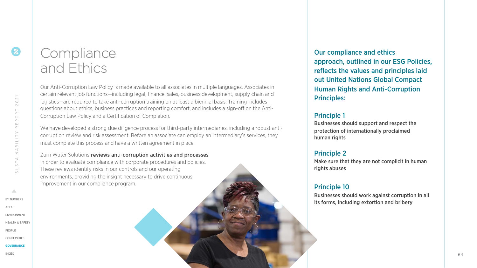# **Compliance** and Ethics

Our Anti-Corruption Law Policy is made available to all associates in multiple languages. Associates in certain relevant job functions—including legal, finance, sales, business development, supply chain and logistics—are required to take anti-corruption training on at least a biennial basis. Training includes questions about ethics, business practices and reporting comfort, and includes a sign-off on the Anti-Corruption Law Policy and a Certification of Completion.

We have developed a strong due diligence process for third-party intermediaries, including a robust anticorruption review and risk assessment. Before an associate can employ an intermediary's services, they must complete this process and have a written agreement in place.

Zurn Water Solutions reviews anti-corruption activities and processes in order to evaluate compliance with corporate procedures and policies. These reviews identify risks in our controls and our operating environments, providing the insight necessary to drive continuous improvement in our compliance program.

Our compliance and ethics approach, outlined in our ESG Policies, reflects the values and principles laid out United Nations Global Compact Human Rights and Anti-Corruption Principles:

#### Principle 1

Businesses should support and respect the protection of internationally proclaimed human rights

### Principle 2

Make sure that they are not complicit in human rights abuses

### Principle 10

Businesses should work against corruption in all its forms, including extortion and bribery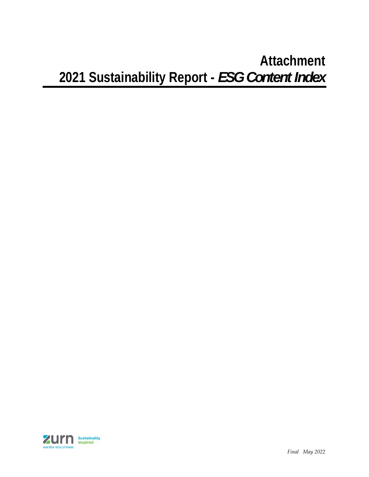## **Attachment 2021 Sustainability Report -** *ESG Content Index*

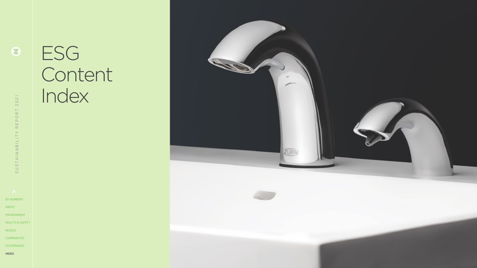# ESG **Content** Index

<span id="page-19-0"></span>

8

[BY NUMBE](#page--1-0)RS [ABO](#page--1-0)UT [ENVIRONME](#page--1-0)NT [HEALTH & SAFE](#page--1-0)TY [PEOP](#page--1-0)LE [COMMUNITI](#page--1-0)ES

**[IND](#page-19-0)EX**

[GOVERNAN](#page--1-0)CE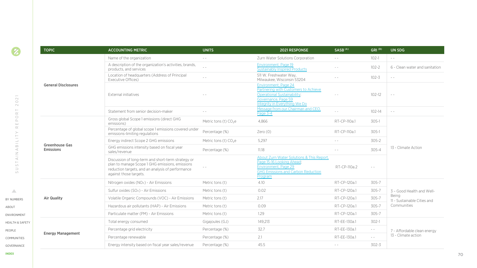|                                                            | <b>TOPIC</b>                       | <b>ACCOUNTING METRIC</b>                                                                                                                                                             | <b>UNITS</b>                      | 2021 RESPONSE                                                                                                                                              | SASB <sup>(A)</sup> | GRI <sup>(B)</sup>   | UN SDG                                                 |  |
|------------------------------------------------------------|------------------------------------|--------------------------------------------------------------------------------------------------------------------------------------------------------------------------------------|-----------------------------------|------------------------------------------------------------------------------------------------------------------------------------------------------------|---------------------|----------------------|--------------------------------------------------------|--|
|                                                            |                                    | Name of the organization                                                                                                                                                             | $\sim$ $\sim$                     | Zurn Water Solutions Corporation                                                                                                                           | $\sim$ $-$          | $102 - 1$            | $\frac{1}{2} \left( \frac{1}{2} \right) = \frac{1}{2}$ |  |
|                                                            |                                    | A description of the organization's activities, brands,<br>products, and services                                                                                                    | $\frac{1}{2}$                     | Environment, Page 19<br>Sustainably Inspired Products                                                                                                      | $\sim$ $\sim$       | $102 - 2$            | 6 - Clean water and sanitation                         |  |
| $\overline{\phantom{0}}$<br>$\sim$<br>$\bigcirc$<br>$\sim$ |                                    | Location of headquarters (Address of Principal<br>Executive Offices)                                                                                                                 | $\sim$ $\sim$                     | 511 W. Freshwater Way,<br>Milwaukee, Wisconsin 53204                                                                                                       | $\sim$ $-$          | $102 - 3$            | $\sim$ $\sim$                                          |  |
|                                                            | <b>General Disclosures</b>         | External initiatives                                                                                                                                                                 |                                   | Environment, Page 24<br>Partnering with Customers to Achieve<br><b>Operational Sustainability;</b><br>Governance, Page 59<br>Integrity in Everything We Do | $\sim$ $-$          | $102 - 12$           | $\qquad \qquad -$                                      |  |
| $\overline{}$<br>$\simeq$                                  |                                    | Statement from senior decision-maker                                                                                                                                                 |                                   | Message from our Chairman and CEO.<br>Page 3-4                                                                                                             | $=$ $=$             | $102 - 14$           | $\sim$ $-$                                             |  |
| $\bigcirc$<br>$\square$<br>$\sqcup\!\sqcup$                |                                    | Gross global Scope 1 emissions (direct GHG<br>emissions)                                                                                                                             | Metric tons (t) CO <sub>2</sub> e | 4.866                                                                                                                                                      | RT-CP-110a.1        | $305-1$              |                                                        |  |
| $\simeq$<br>$\geq$                                         |                                    | Percentage of global scope 1 emissions covered under<br>emissions-limiting regulations                                                                                               | Percentage (%)                    | Zero(0)                                                                                                                                                    | RT-CP-110a.1        | $305-1$              | 13 - Climate Action                                    |  |
| $\equiv$<br>$\frac{1}{\infty}$                             |                                    | Energy indirect Scope 2 GHG emissions                                                                                                                                                | Metric tons (t) $CO2e$            | 5.297                                                                                                                                                      | $\sim$ $\sim$       | 305-2                |                                                        |  |
| $\prec$<br>$\leq$                                          | <b>Greenhouse Gas</b><br>Emissions | GHG emissions intensity based on fiscal year<br>sales/revenue                                                                                                                        | Percentage (%)                    | 11.18                                                                                                                                                      |                     | 305-4                |                                                        |  |
| $\prec$<br>$\vdash$<br>$\cup$<br>$\supset$<br>$\circ$      |                                    | Discussion of long-term and short-term strategy or<br>plan to manage Scope 1 GHG emissions, emissions<br>reduction targets, and an analysis of performance<br>against those targets. |                                   | About Zurn Water Solutions & This Report,<br>Page 15-16 Looking Ahead;<br>Environment, Page 29<br><b>GHG Emissions and Carbon Reduction</b><br>Program     | RT-CP-110a.2        | $\sim$ $\sim$        |                                                        |  |
|                                                            |                                    | Nitrogen oxides (NO <sub>x</sub> ) - Air Emissions                                                                                                                                   | Metric tons (t)                   | 4.10                                                                                                                                                       | RT-CP-120a.1        | 305-7                |                                                        |  |
| $\triangle$                                                |                                    | Sulfur oxides (SOx) - Air Emissions                                                                                                                                                  | Metric tons (t)                   | 0.02                                                                                                                                                       | RT-CP-120a.1        | 305-7                | 3 - Good Health and Well-                              |  |
| BY NUMBERS                                                 | <b>Air Quality</b>                 | Volatile Organic Compounds (VOC) - Air Emissions                                                                                                                                     | Metric tons (t)                   | 2.17                                                                                                                                                       | RT-CP-120a.1        | 305-7                | Being<br>11 - Sustainable Cities and                   |  |
| ABOUT                                                      |                                    | Hazardous air pollutants (HAP) - Air Emissions                                                                                                                                       | Metric tons (t)                   | 0.09                                                                                                                                                       | RT-CP-120a.1        | $305 - 7$            | Communities                                            |  |
| ENVIRONMENT                                                |                                    | Particulate matter (PM) - Air Emissions                                                                                                                                              | Metric tons (t)                   | 1.29                                                                                                                                                       | RT-CP-120a.1        | 305-7                |                                                        |  |
| <b>HEALTH &amp; SAFETY</b>                                 |                                    | Total energy consumed                                                                                                                                                                | Gigajoules (GJ)                   | 149,213                                                                                                                                                    | RT-EE-130a.1        | $302-1$              |                                                        |  |
| PEOPLE                                                     |                                    | Percentage grid electricity                                                                                                                                                          | Percentage (%)                    | 32.7                                                                                                                                                       | RT-EE-130a.1        | $\sim$ $-$           | 7 - Affordable clean energy                            |  |
| <b>COMMUNITIES</b>                                         | <b>Energy Management</b>           | Percentage renewable                                                                                                                                                                 | Percentage (%)                    | 2.1                                                                                                                                                        | RT-EE-130a.1        | $\sim$ $\sim$ $\sim$ | 13 - Climate action                                    |  |
| GOVERNANCE                                                 |                                    | Energy intensity based on fiscal year sales/revenue                                                                                                                                  | Percentage (%)                    | 45.5                                                                                                                                                       | $\sim$ $-$          | 302-3                |                                                        |  |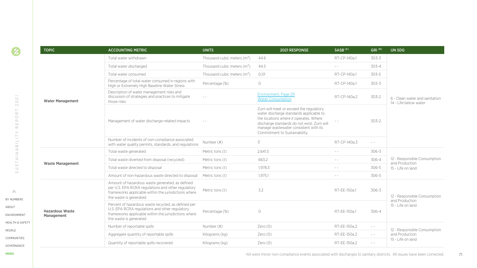|  | <b>TOPIC</b>                         | <b>ACCOUNTING METRIC</b>                                                                                                                                                                | <b>UNITS</b>                  | 2021 RESPONSE                                                                                                                                                                                                                                         | SASB <sup>(A)</sup> | GRI <sup>(B)</sup>                                                                                                                                                                                                                                                                                                                                                                           | UN SDG                                                  |  |
|--|--------------------------------------|-----------------------------------------------------------------------------------------------------------------------------------------------------------------------------------------|-------------------------------|-------------------------------------------------------------------------------------------------------------------------------------------------------------------------------------------------------------------------------------------------------|---------------------|----------------------------------------------------------------------------------------------------------------------------------------------------------------------------------------------------------------------------------------------------------------------------------------------------------------------------------------------------------------------------------------------|---------------------------------------------------------|--|
|  |                                      | Total water withdrawn                                                                                                                                                                   | Thousand cubic meters $(m3)$  | 44.6                                                                                                                                                                                                                                                  | RT-CP-140a.1        | 303-3                                                                                                                                                                                                                                                                                                                                                                                        |                                                         |  |
|  |                                      | Total water discharged                                                                                                                                                                  | Thousand cubic meters $(m^3)$ | 44.5                                                                                                                                                                                                                                                  | $\sim$ $-$          | 303-4                                                                                                                                                                                                                                                                                                                                                                                        |                                                         |  |
|  |                                      | Total water consumed                                                                                                                                                                    | Thousand cubic meters $(m^3)$ | 0.01                                                                                                                                                                                                                                                  | RT-CP-140a.1        | $303 - 5$                                                                                                                                                                                                                                                                                                                                                                                    |                                                         |  |
|  |                                      | Percentage of total water consumed in regions with<br>High or Extremely High Baseline Water Stress                                                                                      | Percentage (%)                | $\circ$                                                                                                                                                                                                                                               | RT-CP-140a.1        | 303-3                                                                                                                                                                                                                                                                                                                                                                                        |                                                         |  |
|  | <b>Water Management</b>              | Description of water management risks and<br>discussion of strategies and practices to mitigate<br>those risks                                                                          | $\qquad \qquad -$             | Environment, Page 29<br><b>Water Consumption</b>                                                                                                                                                                                                      | RT-CP-140a.2        | 303-2                                                                                                                                                                                                                                                                                                                                                                                        | 6 - Clean water and sanitation<br>14 - Life below water |  |
|  |                                      | Management of water discharge-related impacts                                                                                                                                           | $\sim$ $\sim$                 | Zurn will meet or exceed the regulatory<br>water discharge standards applicable to<br>the locations where it operates. Where<br>discharge standards do not exist, Zurn will<br>manage wastewater consistent with its<br>Commitment to Sustainability. |                     | $303 - 2$                                                                                                                                                                                                                                                                                                                                                                                    |                                                         |  |
|  |                                      | Number of incidents of non-compliance associated<br>with water quality permits, standards, and regulations                                                                              | Number (#)                    | $5^1$                                                                                                                                                                                                                                                 | RT-CP-140a.3        | $\sim$ $\sim$                                                                                                                                                                                                                                                                                                                                                                                |                                                         |  |
|  |                                      | Total waste generated                                                                                                                                                                   | Metric tons (t)               | 2.641.5                                                                                                                                                                                                                                               | $\sim$ $-$          | 306-3                                                                                                                                                                                                                                                                                                                                                                                        | 12 - Responsible Consumption<br>and Production          |  |
|  | <b>Waste Management</b>              | Total waste diverted from disposal (recycled)                                                                                                                                           | Metric tons (t)               | 663.2                                                                                                                                                                                                                                                 | $\sim$ $-$          | 306-4                                                                                                                                                                                                                                                                                                                                                                                        |                                                         |  |
|  |                                      | Total waste directed to disposal                                                                                                                                                        | Metric tons (t)               | 1.978.3                                                                                                                                                                                                                                               | $\sim$ $\sim$       | 306-5                                                                                                                                                                                                                                                                                                                                                                                        | 15 - Life on land                                       |  |
|  |                                      | Amount of non-hazardous waste directed to disposal                                                                                                                                      | Metric tons (t)               | 1.975.1                                                                                                                                                                                                                                               | $\sim$ $-$          | 306-5                                                                                                                                                                                                                                                                                                                                                                                        |                                                         |  |
|  |                                      | Amount of hazardous waste generated, as defined<br>per U.S. EPA RCRA regulations and other regulatory<br>frameworks applicable within the jurisdictions where<br>the waste is generated | Metric tons (t)               | 3.2                                                                                                                                                                                                                                                   | RT-EE-150a.1        | 306-3                                                                                                                                                                                                                                                                                                                                                                                        | 12 - Responsible Consumption<br>and Production          |  |
|  | <b>Hazardous Waste</b><br>Management | Percent of hazardous waste recycled, as defined per<br>U.S. EPA RCRA regulations and other regulatory<br>frameworks applicable within the jurisdictions where<br>the waste is generated | Percentage (%)                | $\circ$                                                                                                                                                                                                                                               | RT-FF-150a.1        | 306-4                                                                                                                                                                                                                                                                                                                                                                                        | 15 - Life on land                                       |  |
|  |                                      | Number of reportable spills                                                                                                                                                             | Number (#)                    | Zero $(0)$                                                                                                                                                                                                                                            | RT-EE-150a.2        | $\sim$ $-$                                                                                                                                                                                                                                                                                                                                                                                   | 12 - Responsible Consumption                            |  |
|  |                                      | Aggregate quantity of reportable spills                                                                                                                                                 | Kilograms (kg)                | Zero $(0)$                                                                                                                                                                                                                                            | RT-EE-150a.2        | $\sim$ $-$                                                                                                                                                                                                                                                                                                                                                                                   | and Production                                          |  |
|  |                                      | Quantity of reportable spills recovered                                                                                                                                                 | Kilograms (kg)                | Zero(0)                                                                                                                                                                                                                                               | RT-EE-150a.2        | $\frac{1}{2} \frac{1}{2} \frac{1}{2} \frac{1}{2} \frac{1}{2} \frac{1}{2} \frac{1}{2} \frac{1}{2} \frac{1}{2} \frac{1}{2} \frac{1}{2} \frac{1}{2} \frac{1}{2} \frac{1}{2} \frac{1}{2} \frac{1}{2} \frac{1}{2} \frac{1}{2} \frac{1}{2} \frac{1}{2} \frac{1}{2} \frac{1}{2} \frac{1}{2} \frac{1}{2} \frac{1}{2} \frac{1}{2} \frac{1}{2} \frac{1}{2} \frac{1}{2} \frac{1}{2} \frac{1}{2} \frac{$ | 15 - Life on land                                       |  |

[BY NUMBE](#page--1-0)RS [ABO](#page--1-0)UT [ENVIRONME](#page--1-0)NT

 $\Delta$ 

[PEOP](#page--1-0)LE

[HEALTH & SAFE](#page--1-0)TY

[COMMUNITI](#page--1-0)ES [GOVERNAN](#page--1-0)CE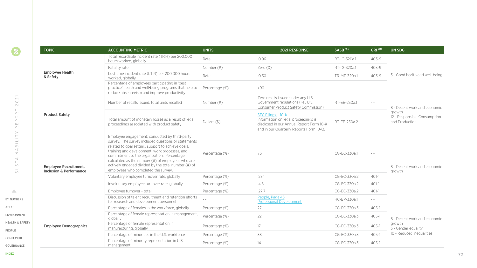|                                                                                              | <b>TOPIC</b>                                                       | <b>ACCOUNTING METRIC</b>                                                                                                                                                                                                                                                                                                                                                                                     | <b>UNITS</b>                                                                                                                                                                                                                                                                                                                                                                                 | 2021 RESPONSE                                                                                                                                    | SASB <sup>(A)</sup> | GRI <sup>(B)</sup>                                     | <b>UN SDG</b>                                            |  |
|----------------------------------------------------------------------------------------------|--------------------------------------------------------------------|--------------------------------------------------------------------------------------------------------------------------------------------------------------------------------------------------------------------------------------------------------------------------------------------------------------------------------------------------------------------------------------------------------------|----------------------------------------------------------------------------------------------------------------------------------------------------------------------------------------------------------------------------------------------------------------------------------------------------------------------------------------------------------------------------------------------|--------------------------------------------------------------------------------------------------------------------------------------------------|---------------------|--------------------------------------------------------|----------------------------------------------------------|--|
|                                                                                              |                                                                    | Total recordable incident rate (TRIR) per 200,000<br>hours worked, globally                                                                                                                                                                                                                                                                                                                                  | Rate                                                                                                                                                                                                                                                                                                                                                                                         | 0.96                                                                                                                                             | RT-IG-320a.1        | $403 - 9$                                              |                                                          |  |
|                                                                                              |                                                                    | Fatality rate                                                                                                                                                                                                                                                                                                                                                                                                | Number (#)                                                                                                                                                                                                                                                                                                                                                                                   | Zero $(0)$                                                                                                                                       | RT-IG-320a.1        | $403 - 9$                                              |                                                          |  |
|                                                                                              | <b>Employee Health</b><br>& Safety                                 | Lost time incident rate (LTIR) per 200,000 hours<br>worked, globally                                                                                                                                                                                                                                                                                                                                         | Rate                                                                                                                                                                                                                                                                                                                                                                                         | 0.30                                                                                                                                             | TR-MT-320a.1        | $403 - 9$                                              | 3 - Good health and well-being                           |  |
|                                                                                              |                                                                    | Percentage of employees participating in 'best<br>practice' health and well-being programs that help to<br>reduce absenteeism and improve productivity                                                                                                                                                                                                                                                       | Percentage (%)                                                                                                                                                                                                                                                                                                                                                                               | >90                                                                                                                                              |                     | $\frac{1}{2} \left( \frac{1}{2} \right)$               |                                                          |  |
| $\sim$<br>$\bigcirc$<br>$\sim$<br>$\vdash$                                                   |                                                                    | Number of recalls issued, total units recalled                                                                                                                                                                                                                                                                                                                                                               | Number (#)                                                                                                                                                                                                                                                                                                                                                                                   | Zero recalls issued under any U.S.<br>Government regulations (i.e., U.S.<br>Consumer Product Safety Commission)                                  | RT-EE-250a.1        | $\frac{1}{2} \left( \frac{1}{2} \right) = \frac{1}{2}$ | 8 - Decent work and economic                             |  |
| $\simeq$<br>$\bigcirc$<br>$\square$<br>$\sqcup\!\sqcup$<br>$\simeq$                          | <b>Product Safety</b>                                              | Total amount of monetary losses as a result of legal<br>proceedings associated with product safety                                                                                                                                                                                                                                                                                                           | Dollars (\$)                                                                                                                                                                                                                                                                                                                                                                                 | SEC Filings - 10-K<br>Information on legal proceedings is<br>disclosed in our Annual Report Form 10-K<br>and in our Quarterly Reports Form 10-Q. | RT-EE-250a.2        |                                                        | growth<br>12 - Responsible Consumption<br>and Production |  |
| $\frac{1}{1}$<br>$\prec$<br>$\frac{1}{\alpha}$<br>$\vdash$<br>$\cup$<br>$\supset$<br>$\circ$ | <b>Employee Recruitment,</b><br><b>Inclusion &amp; Performance</b> | Employee engagement; conducted by third-party<br>survey. The survey included questions or statements<br>related to goal setting, support to achieve goals,<br>training and development, work processes, and<br>commitment to the organization. Percentage<br>calculated as the number (#) of employees who are<br>actively engaged divided by the total number (#) of<br>employees who completed the survey. | Percentage (%)                                                                                                                                                                                                                                                                                                                                                                               | 76                                                                                                                                               | CG-EC-330a.1        | $\frac{1}{2} \left( \frac{1}{2} \right)$               | 8 - Decent work and economic<br>growth                   |  |
|                                                                                              |                                                                    | Voluntary employee turnover rate, globally                                                                                                                                                                                                                                                                                                                                                                   | Percentage (%)                                                                                                                                                                                                                                                                                                                                                                               | 23.1                                                                                                                                             | CG-EC-330a.2        | $401-1$                                                |                                                          |  |
|                                                                                              |                                                                    | Involuntary employee turnover rate, globally                                                                                                                                                                                                                                                                                                                                                                 | Percentage (%)                                                                                                                                                                                                                                                                                                                                                                               | 4.6                                                                                                                                              | CG-EC-330a.2        | $401-1$                                                |                                                          |  |
| $\triangle$                                                                                  |                                                                    | Employee turnover - total                                                                                                                                                                                                                                                                                                                                                                                    | Percentage (%)                                                                                                                                                                                                                                                                                                                                                                               | 27.7                                                                                                                                             | CG-EC-330a.2        | $401-1$                                                |                                                          |  |
| BY NUMBERS                                                                                   |                                                                    | Discussion of talent recruitment and retention efforts<br>for research and development personnel                                                                                                                                                                                                                                                                                                             | $\frac{1}{2} \frac{1}{2} \frac{1}{2} \frac{1}{2} \frac{1}{2} \frac{1}{2} \frac{1}{2} \frac{1}{2} \frac{1}{2} \frac{1}{2} \frac{1}{2} \frac{1}{2} \frac{1}{2} \frac{1}{2} \frac{1}{2} \frac{1}{2} \frac{1}{2} \frac{1}{2} \frac{1}{2} \frac{1}{2} \frac{1}{2} \frac{1}{2} \frac{1}{2} \frac{1}{2} \frac{1}{2} \frac{1}{2} \frac{1}{2} \frac{1}{2} \frac{1}{2} \frac{1}{2} \frac{1}{2} \frac{$ | People, Page 45<br><b>Professional Development</b>                                                                                               | HC-BP-330a.1        | $\frac{1}{2} \left( \frac{1}{2} \right) = \frac{1}{2}$ |                                                          |  |
| ABOUT                                                                                        |                                                                    | Percentage of females in the workforce, globally                                                                                                                                                                                                                                                                                                                                                             | Percentage (%)                                                                                                                                                                                                                                                                                                                                                                               | 27                                                                                                                                               | CG-EC-330a.3        | $405 - 1$                                              |                                                          |  |
| <b>ENVIRONMENT</b>                                                                           |                                                                    | Percentage of female representation in management,<br>globally                                                                                                                                                                                                                                                                                                                                               | Percentage (%)                                                                                                                                                                                                                                                                                                                                                                               | 22                                                                                                                                               | CG-EC-330a.3        | $405 - 1$                                              | 8 - Decent work and economic                             |  |
| <b>HEALTH &amp; SAFETY</b><br>PEOPLE                                                         | <b>Employee Demographics</b>                                       | Percentage of female representation in<br>manufacturing, globally                                                                                                                                                                                                                                                                                                                                            | Percentage (%)                                                                                                                                                                                                                                                                                                                                                                               | 17                                                                                                                                               | CG-EC-330a.3        | $405 - 1$                                              | growth<br>5 - Gender equality                            |  |
| <b>COMMUNITIES</b>                                                                           |                                                                    | Percentage of minorities in the U.S. workforce                                                                                                                                                                                                                                                                                                                                                               | Percentage (%)                                                                                                                                                                                                                                                                                                                                                                               | 38                                                                                                                                               | CG-EC-330a.3        | $405 - 1$                                              | 10 - Reduced inequalities                                |  |
| GOVERNANCE                                                                                   |                                                                    | Percentage of minority representation in U.S.<br>management                                                                                                                                                                                                                                                                                                                                                  | Percentage (%)                                                                                                                                                                                                                                                                                                                                                                               | 14                                                                                                                                               | CG-EC-330a.3        | $405 - 1$                                              |                                                          |  |

[GOVERNAN](#page--1-0)CE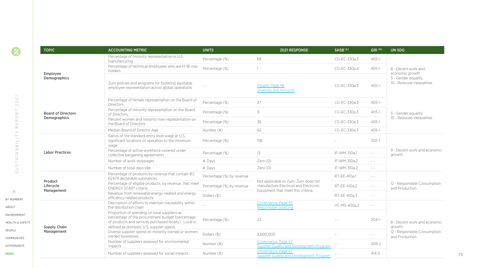| <b>TOPIC</b>                       | <b>ACCOUNTING METRIC</b>                                                                                                                                                                                                      | <b>UNITS</b>              | 2021 RESPONSE                                                                                                        | SASB <sup>(A)</sup> | GRI <sup>(B)</sup>                               | UN SDG                                         |  |
|------------------------------------|-------------------------------------------------------------------------------------------------------------------------------------------------------------------------------------------------------------------------------|---------------------------|----------------------------------------------------------------------------------------------------------------------|---------------------|--------------------------------------------------|------------------------------------------------|--|
|                                    | Percentage of minority representation in U.S.<br>manufacturing                                                                                                                                                                | Percentage (%)            | 68                                                                                                                   | CG-EC-330a.3        | $405 - 1$                                        |                                                |  |
| Employee                           | Percentage of technical employees who are H-1B visa<br>holders                                                                                                                                                                | Percentage (%)            | $\mathbf{1}$                                                                                                         | CG-EC-330a.4        | $405 - 1$                                        | 8 - Decent work and<br>economic growth         |  |
| Demographics                       | Zurn policies and programs for fostering equitable<br>People, Page 48<br>employee representation across global operations<br>Diversity and Inclusion                                                                          |                           | CG-EC-330a.3                                                                                                         | $405 - 1$           | 5 - Gender equality<br>10 - Reduced inequalities |                                                |  |
|                                    | Percentage of female representation on the Board of<br><b>Directors</b>                                                                                                                                                       | Percentage (%)            | 27                                                                                                                   | CG-EC-330a.3        | $405 - 1$                                        |                                                |  |
| <b>Board of Directors</b>          | Percentage of minority representation on the Board<br>of Directors                                                                                                                                                            | Percentage (%)            | 9                                                                                                                    | CG-EC-330a.3        | $405 - 1$                                        | 5 - Gender equality                            |  |
| Demographics                       | Percent women and minority men representation on<br>the Board of Directors                                                                                                                                                    | Percentage (%)            | 36                                                                                                                   | CG-EC-330a.3        | $405 - 1$                                        | 10 - Reduced inequalities                      |  |
|                                    | Median Board of Director Age                                                                                                                                                                                                  | Number (#)                | 62                                                                                                                   | CG-EC-330a.3        | $405 - 1$                                        |                                                |  |
|                                    | Ratios of the standard entry level wage at U.S.<br>significant locations of operation to the minimum<br>wage                                                                                                                  | Percentage (%)            | 158                                                                                                                  |                     | $202 - 1$                                        | 8 - Decent work and economic<br>growth         |  |
| <b>Labor Practices</b>             | Percentage of active workforce covered under<br>collective bargaining agreements                                                                                                                                              | Percentage (%)            | 13                                                                                                                   | IF-WM-310a.1        | $\sim$ $-$                                       |                                                |  |
|                                    | Number of work stoppages                                                                                                                                                                                                      | #, Days                   | Zero(0)                                                                                                              | IF-WM-310a.2        | $\omega_{\rm c}$ and                             |                                                |  |
|                                    | Number of total days idle                                                                                                                                                                                                     | #, Days                   | Zero(0)                                                                                                              | IF-WM-310a.2        | $\sim$ $\sim$                                    |                                                |  |
|                                    | Percentage of products by revenue that contain IEC<br>62474 declarable substances                                                                                                                                             | Percentage (%) by revenue |                                                                                                                      | RT-EE-410a.1        | $\sim$ $\sim$                                    | 12 - Responsible Consumption<br>and Production |  |
| Product<br>Lifecycle<br>Management | Percentage of eligible products, by revenue, that meet<br>ENERGY STAR® criteria                                                                                                                                               | Percentage (%) by revenue | Not applicable to Zurn. Zurn does not<br>manufacture Electrical and Electronic<br>Equipment that meet this criteria. | RT-EE-410a.2        | $\sim$ $\sim$                                    |                                                |  |
|                                    | Revenue from renewable energy-related and energy<br>efficiency-related products                                                                                                                                               | Dollars (\$)              |                                                                                                                      | RT-EE-410a.3        | $\sim$ $\sim$                                    |                                                |  |
|                                    | Description of efforts to maintain traceability within<br>the distribution chain                                                                                                                                              | $=$ $=$                   | Governance, Page 65<br>Responsible Sourcing                                                                          | HC-MS-430a.2        | $\sim$ $\sim$                                    |                                                |  |
| Supply Chain                       | Proportion of spending on local suppliers as<br>percentage of the procurement budget (percentage<br>23<br>Percentage (%)<br>of products and services purchased locally). Local is<br>defined as domestic U.S. supplier spend. | $204-1$                   | 8 - Decent work and economic<br>growth                                                                               |                     |                                                  |                                                |  |
| Management                         | Diverse supplier spend on minority-owned or women-<br>owned businesses                                                                                                                                                        | Dollars (\$)              | 5.000.000                                                                                                            |                     | $\sim$ $\sim$                                    | 12 - Responsible Consumption<br>and Production |  |
|                                    | Number of suppliers assessed for environmental<br>impacts                                                                                                                                                                     | Number (#)                | Governance, Page 67<br>Supplier Quality and Development Program                                                      |                     | $308-2$                                          |                                                |  |
|                                    | Number of suppliers assessed for social impacts                                                                                                                                                                               | Number (#)                | Governance, Page 67<br>Supplier Quality and Development Program                                                      |                     | $414 - 2$                                        |                                                |  |

[BY NUMBE](#page--1-0)RS [ABO](#page--1-0)UT [ENVIRONME](#page--1-0)NT [HEALTH & SAFE](#page--1-0)TY

 $\mathcal{A}$ 

[PEOP](#page--1-0)LE [COMMUNITI](#page--1-0)ES

[GOVERNAN](#page--1-0)CE